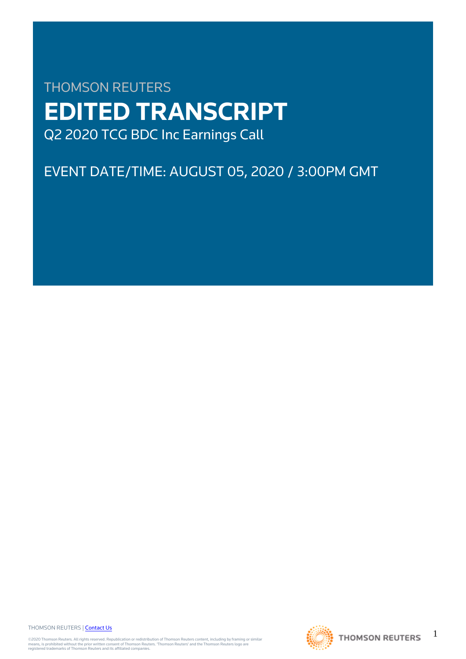# THOMSON REUTERS **EDITED TRANSCRIPT** Q2 2020 TCG BDC Inc Earnings Call

## EVENT DATE/TIME: AUGUST 05, 2020 / 3:00PM GMT

THOMSON REUTERS | [Contact Us](https://my.thomsonreuters.com/ContactUsNew)

©2020 Thomson Reuters. All rights reserved. Republication or redistribution of Thomson Reuters content, including by framing or similar<br>means, is prohibited without the prior written consent of Thomson Reuters. "Thomson Re



1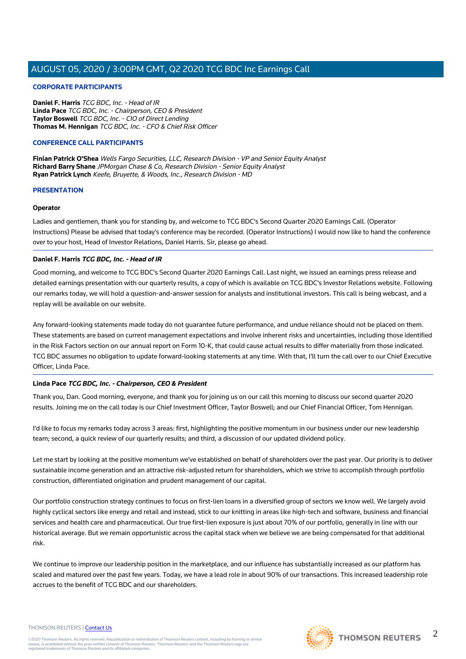#### **CORPORATE PARTICIPANTS**

**Daniel F. Harris** TCG BDC, Inc. - Head of IR **Linda Pace** TCG BDC, Inc. - Chairperson, CEO & President **Taylor Boswell** TCG BDC, Inc. - CIO of Direct Lending **Thomas M. Hennigan** TCG BDC, Inc. - CFO & Chief Risk Officer

#### **CONFERENCE CALL PARTICIPANTS**

**Finian Patrick O'Shea** Wells Fargo Securities, LLC, Research Division - VP and Senior Equity Analyst **Richard Barry Shane** JPMorgan Chase & Co, Research Division - Senior Equity Analyst **Ryan Patrick Lynch** Keefe, Bruyette, & Woods, Inc., Research Division - MD

#### **PRESENTATION**

#### **Operator**

Ladies and gentlemen, thank you for standing by, and welcome to TCG BDC's Second Quarter 2020 Earnings Call. (Operator Instructions) Please be advised that today's conference may be recorded. (Operator Instructions) I would now like to hand the conference over to your host, Head of Investor Relations, Daniel Harris. Sir, please go ahead.

#### **Daniel F. Harris TCG BDC, Inc. - Head of IR**

Good morning, and welcome to TCG BDC's Second Quarter 2020 Earnings Call. Last night, we issued an earnings press release and detailed earnings presentation with our quarterly results, a copy of which is available on TCG BDC's Investor Relations website. Following our remarks today, we will hold a question-and-answer session for analysts and institutional investors. This call is being webcast, and a replay will be available on our website.

Any forward-looking statements made today do not guarantee future performance, and undue reliance should not be placed on them. These statements are based on current management expectations and involve inherent risks and uncertainties, including those identified in the Risk Factors section on our annual report on Form 10-K, that could cause actual results to differ materially from those indicated. TCG BDC assumes no obligation to update forward-looking statements at any time. With that, I'll turn the call over to our Chief Executive Officer, Linda Pace.

#### **Linda Pace TCG BDC, Inc. - Chairperson, CEO & President**

Thank you, Dan. Good morning, everyone, and thank you for joining us on our call this morning to discuss our second quarter 2020 results. Joining me on the call today is our Chief Investment Officer, Taylor Boswell; and our Chief Financial Officer, Tom Hennigan.

I'd like to focus my remarks today across 3 areas: first, highlighting the positive momentum in our business under our new leadership team; second, a quick review of our quarterly results; and third, a discussion of our updated dividend policy.

Let me start by looking at the positive momentum we've established on behalf of shareholders over the past year. Our priority is to deliver sustainable income generation and an attractive risk-adjusted return for shareholders, which we strive to accomplish through portfolio construction, differentiated origination and prudent management of our capital.

Our portfolio construction strategy continues to focus on first-lien loans in a diversified group of sectors we know well. We largely avoid highly cyclical sectors like energy and retail and instead, stick to our knitting in areas like high-tech and software, business and financial services and health care and pharmaceutical. Our true first-lien exposure is just about 70% of our portfolio, generally in line with our historical average. But we remain opportunistic across the capital stack when we believe we are being compensated for that additional risk.

We continue to improve our leadership position in the marketplace, and our influence has substantially increased as our platform has scaled and matured over the past few years. Today, we have a lead role in about 90% of our transactions. This increased leadership role accrues to the benefit of TCG BDC and our shareholders.

#### THOMSON REUTERS | [Contact Us](https://my.thomsonreuters.com/ContactUsNew)

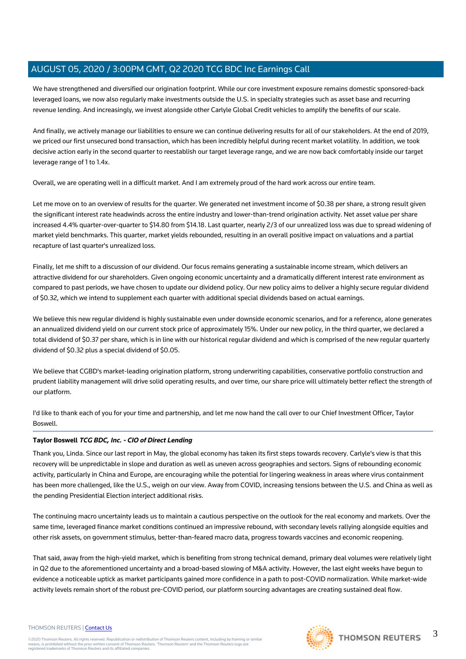We have strengthened and diversified our origination footprint. While our core investment exposure remains domestic sponsored-back leveraged loans, we now also regularly make investments outside the U.S. in specialty strategies such as asset base and recurring revenue lending. And increasingly, we invest alongside other Carlyle Global Credit vehicles to amplify the benefits of our scale.

And finally, we actively manage our liabilities to ensure we can continue delivering results for all of our stakeholders. At the end of 2019, we priced our first unsecured bond transaction, which has been incredibly helpful during recent market volatility. In addition, we took decisive action early in the second quarter to reestablish our target leverage range, and we are now back comfortably inside our target leverage range of 1 to 1.4x.

Overall, we are operating well in a difficult market. And I am extremely proud of the hard work across our entire team.

Let me move on to an overview of results for the quarter. We generated net investment income of \$0.38 per share, a strong result given the significant interest rate headwinds across the entire industry and lower-than-trend origination activity. Net asset value per share increased 4.4% quarter-over-quarter to \$14.80 from \$14.18. Last quarter, nearly 2/3 of our unrealized loss was due to spread widening of market yield benchmarks. This quarter, market yields rebounded, resulting in an overall positive impact on valuations and a partial recapture of last quarter's unrealized loss.

Finally, let me shift to a discussion of our dividend. Our focus remains generating a sustainable income stream, which delivers an attractive dividend for our shareholders. Given ongoing economic uncertainty and a dramatically different interest rate environment as compared to past periods, we have chosen to update our dividend policy. Our new policy aims to deliver a highly secure regular dividend of \$0.32, which we intend to supplement each quarter with additional special dividends based on actual earnings.

We believe this new regular dividend is highly sustainable even under downside economic scenarios, and for a reference, alone generates an annualized dividend yield on our current stock price of approximately 15%. Under our new policy, in the third quarter, we declared a total dividend of \$0.37 per share, which is in line with our historical regular dividend and which is comprised of the new regular quarterly dividend of \$0.32 plus a special dividend of \$0.05.

We believe that CGBD's market-leading origination platform, strong underwriting capabilities, conservative portfolio construction and prudent liability management will drive solid operating results, and over time, our share price will ultimately better reflect the strength of our platform.

I'd like to thank each of you for your time and partnership, and let me now hand the call over to our Chief Investment Officer, Taylor Boswell.

#### **Taylor Boswell TCG BDC, Inc. - CIO of Direct Lending**

Thank you, Linda. Since our last report in May, the global economy has taken its first steps towards recovery. Carlyle's view is that this recovery will be unpredictable in slope and duration as well as uneven across geographies and sectors. Signs of rebounding economic activity, particularly in China and Europe, are encouraging while the potential for lingering weakness in areas where virus containment has been more challenged, like the U.S., weigh on our view. Away from COVID, increasing tensions between the U.S. and China as well as the pending Presidential Election interject additional risks.

The continuing macro uncertainty leads us to maintain a cautious perspective on the outlook for the real economy and markets. Over the same time, leveraged finance market conditions continued an impressive rebound, with secondary levels rallying alongside equities and other risk assets, on government stimulus, better-than-feared macro data, progress towards vaccines and economic reopening.

That said, away from the high-yield market, which is benefiting from strong technical demand, primary deal volumes were relatively light in Q2 due to the aforementioned uncertainty and a broad-based slowing of M&A activity. However, the last eight weeks have begun to evidence a noticeable uptick as market participants gained more confidence in a path to post-COVID normalization. While market-wide activity levels remain short of the robust pre-COVID period, our platform sourcing advantages are creating sustained deal flow.

#### THOMSON REUTERS | [Contact Us](https://my.thomsonreuters.com/ContactUsNew)

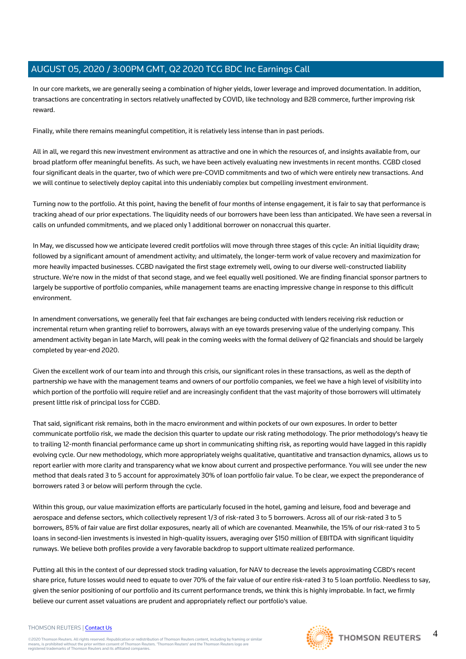In our core markets, we are generally seeing a combination of higher yields, lower leverage and improved documentation. In addition, transactions are concentrating in sectors relatively unaffected by COVID, like technology and B2B commerce, further improving risk reward.

Finally, while there remains meaningful competition, it is relatively less intense than in past periods.

All in all, we regard this new investment environment as attractive and one in which the resources of, and insights available from, our broad platform offer meaningful benefits. As such, we have been actively evaluating new investments in recent months. CGBD closed four significant deals in the quarter, two of which were pre-COVID commitments and two of which were entirely new transactions. And we will continue to selectively deploy capital into this undeniably complex but compelling investment environment.

Turning now to the portfolio. At this point, having the benefit of four months of intense engagement, it is fair to say that performance is tracking ahead of our prior expectations. The liquidity needs of our borrowers have been less than anticipated. We have seen a reversal in calls on unfunded commitments, and we placed only 1 additional borrower on nonaccrual this quarter.

In May, we discussed how we anticipate levered credit portfolios will move through three stages of this cycle: An initial liquidity draw; followed by a significant amount of amendment activity; and ultimately, the longer-term work of value recovery and maximization for more heavily impacted businesses. CGBD navigated the first stage extremely well, owing to our diverse well-constructed liability structure. We're now in the midst of that second stage, and we feel equally well positioned. We are finding financial sponsor partners to largely be supportive of portfolio companies, while management teams are enacting impressive change in response to this difficult environment.

In amendment conversations, we generally feel that fair exchanges are being conducted with lenders receiving risk reduction or incremental return when granting relief to borrowers, always with an eye towards preserving value of the underlying company. This amendment activity began in late March, will peak in the coming weeks with the formal delivery of Q2 financials and should be largely completed by year-end 2020.

Given the excellent work of our team into and through this crisis, our significant roles in these transactions, as well as the depth of partnership we have with the management teams and owners of our portfolio companies, we feel we have a high level of visibility into which portion of the portfolio will require relief and are increasingly confident that the vast majority of those borrowers will ultimately present little risk of principal loss for CGBD.

That said, significant risk remains, both in the macro environment and within pockets of our own exposures. In order to better communicate portfolio risk, we made the decision this quarter to update our risk rating methodology. The prior methodology's heavy tie to trailing 12-month financial performance came up short in communicating shifting risk, as reporting would have lagged in this rapidly evolving cycle. Our new methodology, which more appropriately weighs qualitative, quantitative and transaction dynamics, allows us to report earlier with more clarity and transparency what we know about current and prospective performance. You will see under the new method that deals rated 3 to 5 account for approximately 30% of loan portfolio fair value. To be clear, we expect the preponderance of borrowers rated 3 or below will perform through the cycle.

Within this group, our value maximization efforts are particularly focused in the hotel, gaming and leisure, food and beverage and aerospace and defense sectors, which collectively represent 1/3 of risk-rated 3 to 5 borrowers. Across all of our risk-rated 3 to 5 borrowers, 85% of fair value are first dollar exposures, nearly all of which are covenanted. Meanwhile, the 15% of our risk-rated 3 to 5 loans in second-lien investments is invested in high-quality issuers, averaging over \$150 million of EBITDA with significant liquidity runways. We believe both profiles provide a very favorable backdrop to support ultimate realized performance.

Putting all this in the context of our depressed stock trading valuation, for NAV to decrease the levels approximating CGBD's recent share price, future losses would need to equate to over 70% of the fair value of our entire risk-rated 3 to 5 loan portfolio. Needless to say, given the senior positioning of our portfolio and its current performance trends, we think this is highly improbable. In fact, we firmly believe our current asset valuations are prudent and appropriately reflect our portfolio's value.

#### THOMSON REUTERS | [Contact Us](https://my.thomsonreuters.com/ContactUsNew)

©2020 Thomson Reuters. All rights reserved. Republication or redistribution of Thomson Reuters content, including by framing or similar<br>means, is prohibited without the prior written consent of Thomson Reuters. "Thomson Re



4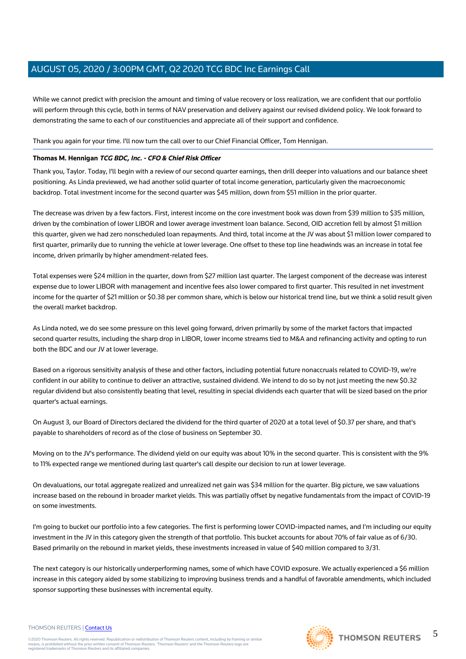While we cannot predict with precision the amount and timing of value recovery or loss realization, we are confident that our portfolio will perform through this cycle, both in terms of NAV preservation and delivery against our revised dividend policy. We look forward to demonstrating the same to each of our constituencies and appreciate all of their support and confidence.

Thank you again for your time. I'll now turn the call over to our Chief Financial Officer, Tom Hennigan.

#### **Thomas M. Hennigan TCG BDC, Inc. - CFO & Chief Risk Officer**

Thank you, Taylor. Today, I'll begin with a review of our second quarter earnings, then drill deeper into valuations and our balance sheet positioning. As Linda previewed, we had another solid quarter of total income generation, particularly given the macroeconomic backdrop. Total investment income for the second quarter was \$45 million, down from \$51 million in the prior quarter.

The decrease was driven by a few factors. First, interest income on the core investment book was down from \$39 million to \$35 million, driven by the combination of lower LIBOR and lower average investment loan balance. Second, OID accretion fell by almost \$1 million this quarter, given we had zero nonscheduled loan repayments. And third, total income at the JV was about \$1 million lower compared to first quarter, primarily due to running the vehicle at lower leverage. One offset to these top line headwinds was an increase in total fee income, driven primarily by higher amendment-related fees.

Total expenses were \$24 million in the quarter, down from \$27 million last quarter. The largest component of the decrease was interest expense due to lower LIBOR with management and incentive fees also lower compared to first quarter. This resulted in net investment income for the quarter of \$21 million or \$0.38 per common share, which is below our historical trend line, but we think a solid result given the overall market backdrop.

As Linda noted, we do see some pressure on this level going forward, driven primarily by some of the market factors that impacted second quarter results, including the sharp drop in LIBOR, lower income streams tied to M&A and refinancing activity and opting to run both the BDC and our JV at lower leverage.

Based on a rigorous sensitivity analysis of these and other factors, including potential future nonaccruals related to COVID-19, we're confident in our ability to continue to deliver an attractive, sustained dividend. We intend to do so by not just meeting the new \$0.32 regular dividend but also consistently beating that level, resulting in special dividends each quarter that will be sized based on the prior quarter's actual earnings.

On August 3, our Board of Directors declared the dividend for the third quarter of 2020 at a total level of \$0.37 per share, and that's payable to shareholders of record as of the close of business on September 30.

Moving on to the JV's performance. The dividend yield on our equity was about 10% in the second quarter. This is consistent with the 9% to 11% expected range we mentioned during last quarter's call despite our decision to run at lower leverage.

On devaluations, our total aggregate realized and unrealized net gain was \$34 million for the quarter. Big picture, we saw valuations increase based on the rebound in broader market yields. This was partially offset by negative fundamentals from the impact of COVID-19 on some investments.

I'm going to bucket our portfolio into a few categories. The first is performing lower COVID-impacted names, and I'm including our equity investment in the JV in this category given the strength of that portfolio. This bucket accounts for about 70% of fair value as of 6/30. Based primarily on the rebound in market yields, these investments increased in value of \$40 million compared to 3/31.

The next category is our historically underperforming names, some of which have COVID exposure. We actually experienced a \$6 million increase in this category aided by some stabilizing to improving business trends and a handful of favorable amendments, which included sponsor supporting these businesses with incremental equity.

#### THOMSON REUTERS | [Contact Us](https://my.thomsonreuters.com/ContactUsNew)

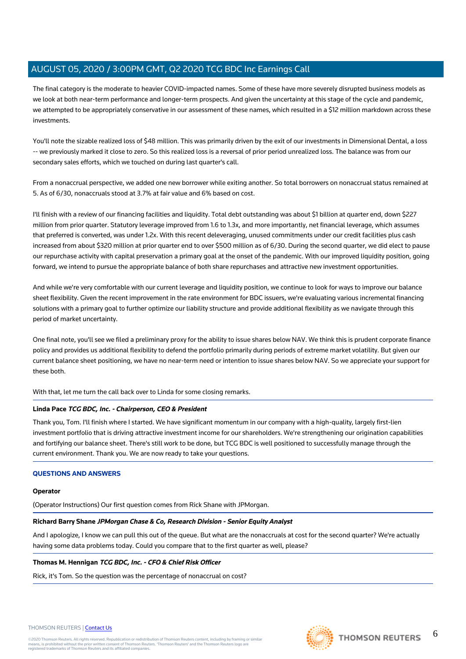The final category is the moderate to heavier COVID-impacted names. Some of these have more severely disrupted business models as we look at both near-term performance and longer-term prospects. And given the uncertainty at this stage of the cycle and pandemic, we attempted to be appropriately conservative in our assessment of these names, which resulted in a \$12 million markdown across these investments.

You'll note the sizable realized loss of \$48 million. This was primarily driven by the exit of our investments in Dimensional Dental, a loss -- we previously marked it close to zero. So this realized loss is a reversal of prior period unrealized loss. The balance was from our secondary sales efforts, which we touched on during last quarter's call.

From a nonaccrual perspective, we added one new borrower while exiting another. So total borrowers on nonaccrual status remained at 5. As of 6/30, nonaccruals stood at 3.7% at fair value and 6% based on cost.

I'll finish with a review of our financing facilities and liquidity. Total debt outstanding was about \$1 billion at quarter end, down \$227 million from prior quarter. Statutory leverage improved from 1.6 to 1.3x, and more importantly, net financial leverage, which assumes that preferred is converted, was under 1.2x. With this recent deleveraging, unused commitments under our credit facilities plus cash increased from about \$320 million at prior quarter end to over \$500 million as of 6/30. During the second quarter, we did elect to pause our repurchase activity with capital preservation a primary goal at the onset of the pandemic. With our improved liquidity position, going forward, we intend to pursue the appropriate balance of both share repurchases and attractive new investment opportunities.

And while we're very comfortable with our current leverage and liquidity position, we continue to look for ways to improve our balance sheet flexibility. Given the recent improvement in the rate environment for BDC issuers, we're evaluating various incremental financing solutions with a primary goal to further optimize our liability structure and provide additional flexibility as we navigate through this period of market uncertainty.

One final note, you'll see we filed a preliminary proxy for the ability to issue shares below NAV. We think this is prudent corporate finance policy and provides us additional flexibility to defend the portfolio primarily during periods of extreme market volatility. But given our current balance sheet positioning, we have no near-term need or intention to issue shares below NAV. So we appreciate your support for these both.

With that, let me turn the call back over to Linda for some closing remarks.

#### **Linda Pace TCG BDC, Inc. - Chairperson, CEO & President**

Thank you, Tom. I'll finish where I started. We have significant momentum in our company with a high-quality, largely first-lien investment portfolio that is driving attractive investment income for our shareholders. We're strengthening our origination capabilities and fortifying our balance sheet. There's still work to be done, but TCG BDC is well positioned to successfully manage through the current environment. Thank you. We are now ready to take your questions.

#### **QUESTIONS AND ANSWERS**

#### **Operator**

(Operator Instructions) Our first question comes from Rick Shane with JPMorgan.

#### **Richard Barry Shane JPMorgan Chase & Co, Research Division - Senior Equity Analyst**

And I apologize, I know we can pull this out of the queue. But what are the nonaccruals at cost for the second quarter? We're actually having some data problems today. Could you compare that to the first quarter as well, please?

#### **Thomas M. Hennigan TCG BDC, Inc. - CFO & Chief Risk Officer**

Rick, it's Tom. So the question was the percentage of nonaccrual on cost?

#### THOMSON REUTERS | [Contact Us](https://my.thomsonreuters.com/ContactUsNew)

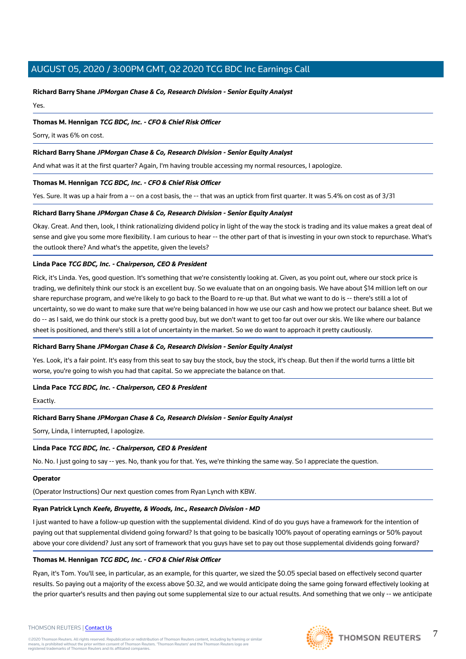#### **Richard Barry Shane JPMorgan Chase & Co, Research Division - Senior Equity Analyst**

Yes.

#### **Thomas M. Hennigan TCG BDC, Inc. - CFO & Chief Risk Officer**

Sorry, it was 6% on cost.

#### **Richard Barry Shane JPMorgan Chase & Co, Research Division - Senior Equity Analyst**

And what was it at the first quarter? Again, I'm having trouble accessing my normal resources, I apologize.

#### **Thomas M. Hennigan TCG BDC, Inc. - CFO & Chief Risk Officer**

Yes. Sure. It was up a hair from a -- on a cost basis, the -- that was an uptick from first quarter. It was 5.4% on cost as of 3/31

#### **Richard Barry Shane JPMorgan Chase & Co, Research Division - Senior Equity Analyst**

Okay. Great. And then, look, I think rationalizing dividend policy in light of the way the stock is trading and its value makes a great deal of sense and give you some more flexibility. I am curious to hear -- the other part of that is investing in your own stock to repurchase. What's the outlook there? And what's the appetite, given the levels?

#### **Linda Pace TCG BDC, Inc. - Chairperson, CEO & President**

Rick, it's Linda. Yes, good question. It's something that we're consistently looking at. Given, as you point out, where our stock price is trading, we definitely think our stock is an excellent buy. So we evaluate that on an ongoing basis. We have about \$14 million left on our share repurchase program, and we're likely to go back to the Board to re-up that. But what we want to do is -- there's still a lot of uncertainty, so we do want to make sure that we're being balanced in how we use our cash and how we protect our balance sheet. But we do -- as I said, we do think our stock is a pretty good buy, but we don't want to get too far out over our skis. We like where our balance sheet is positioned, and there's still a lot of uncertainty in the market. So we do want to approach it pretty cautiously.

#### **Richard Barry Shane JPMorgan Chase & Co, Research Division - Senior Equity Analyst**

Yes. Look, it's a fair point. It's easy from this seat to say buy the stock, buy the stock, it's cheap. But then if the world turns a little bit worse, you're going to wish you had that capital. So we appreciate the balance on that.

#### **Linda Pace TCG BDC, Inc. - Chairperson, CEO & President**

Exactly.

#### **Richard Barry Shane JPMorgan Chase & Co, Research Division - Senior Equity Analyst**

Sorry, Linda, I interrupted, I apologize.

#### **Linda Pace TCG BDC, Inc. - Chairperson, CEO & President**

No. No. I just going to say -- yes. No, thank you for that. Yes, we're thinking the same way. So I appreciate the question.

#### **Operator**

(Operator Instructions) Our next question comes from Ryan Lynch with KBW.

#### **Ryan Patrick Lynch Keefe, Bruyette, & Woods, Inc., Research Division - MD**

I just wanted to have a follow-up question with the supplemental dividend. Kind of do you guys have a framework for the intention of paying out that supplemental dividend going forward? Is that going to be basically 100% payout of operating earnings or 50% payout above your core dividend? Just any sort of framework that you guys have set to pay out those supplemental dividends going forward?

#### **Thomas M. Hennigan TCG BDC, Inc. - CFO & Chief Risk Officer**

Ryan, it's Tom. You'll see, in particular, as an example, for this quarter, we sized the \$0.05 special based on effectively second quarter results. So paying out a majority of the excess above \$0.32, and we would anticipate doing the same going forward effectively looking at the prior quarter's results and then paying out some supplemental size to our actual results. And something that we only -- we anticipate



7

#### THOMSON REUTERS | [Contact Us](https://my.thomsonreuters.com/ContactUsNew)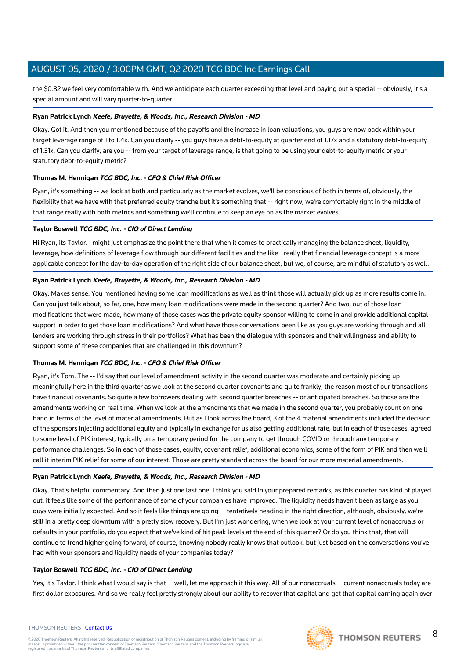the \$0.32 we feel very comfortable with. And we anticipate each quarter exceeding that level and paying out a special -- obviously, it's a special amount and will vary quarter-to-quarter.

#### **Ryan Patrick Lynch Keefe, Bruyette, & Woods, Inc., Research Division - MD**

Okay. Got it. And then you mentioned because of the payoffs and the increase in loan valuations, you guys are now back within your target leverage range of 1 to 1.4x. Can you clarify -- you guys have a debt-to-equity at quarter end of 1.17x and a statutory debt-to-equity of 1.31x. Can you clarify, are you -- from your target of leverage range, is that going to be using your debt-to-equity metric or your statutory debt-to-equity metric?

#### **Thomas M. Hennigan TCG BDC, Inc. - CFO & Chief Risk Officer**

Ryan, it's something -- we look at both and particularly as the market evolves, we'll be conscious of both in terms of, obviously, the flexibility that we have with that preferred equity tranche but it's something that -- right now, we're comfortably right in the middle of that range really with both metrics and something we'll continue to keep an eye on as the market evolves.

#### **Taylor Boswell TCG BDC, Inc. - CIO of Direct Lending**

Hi Ryan, its Taylor. I might just emphasize the point there that when it comes to practically managing the balance sheet, liquidity, leverage, how definitions of leverage flow through our different facilities and the like - really that financial leverage concept is a more applicable concept for the day-to-day operation of the right side of our balance sheet, but we, of course, are mindful of statutory as well.

#### **Ryan Patrick Lynch Keefe, Bruyette, & Woods, Inc., Research Division - MD**

Okay. Makes sense. You mentioned having some loan modifications as well as think those will actually pick up as more results come in. Can you just talk about, so far, one, how many loan modifications were made in the second quarter? And two, out of those loan modifications that were made, how many of those cases was the private equity sponsor willing to come in and provide additional capital support in order to get those loan modifications? And what have those conversations been like as you guys are working through and all lenders are working through stress in their portfolios? What has been the dialogue with sponsors and their willingness and ability to support some of these companies that are challenged in this downturn?

#### **Thomas M. Hennigan TCG BDC, Inc. - CFO & Chief Risk Officer**

Ryan, it's Tom. The -- I'd say that our level of amendment activity in the second quarter was moderate and certainly picking up meaningfully here in the third quarter as we look at the second quarter covenants and quite frankly, the reason most of our transactions have financial covenants. So quite a few borrowers dealing with second quarter breaches -- or anticipated breaches. So those are the amendments working on real time. When we look at the amendments that we made in the second quarter, you probably count on one hand in terms of the level of material amendments. But as I look across the board, 3 of the 4 material amendments included the decision of the sponsors injecting additional equity and typically in exchange for us also getting additional rate, but in each of those cases, agreed to some level of PIK interest, typically on a temporary period for the company to get through COVID or through any temporary performance challenges. So in each of those cases, equity, covenant relief, additional economics, some of the form of PIK and then we'll call it interim PIK relief for some of our interest. Those are pretty standard across the board for our more material amendments.

#### **Ryan Patrick Lynch Keefe, Bruyette, & Woods, Inc., Research Division - MD**

Okay. That's helpful commentary. And then just one last one. I think you said in your prepared remarks, as this quarter has kind of played out, it feels like some of the performance of some of your companies have improved. The liquidity needs haven't been as large as you guys were initially expected. And so it feels like things are going -- tentatively heading in the right direction, although, obviously, we're still in a pretty deep downturn with a pretty slow recovery. But I'm just wondering, when we look at your current level of nonaccruals or defaults in your portfolio, do you expect that we've kind of hit peak levels at the end of this quarter? Or do you think that, that will continue to trend higher going forward, of course, knowing nobody really knows that outlook, but just based on the conversations you've had with your sponsors and liquidity needs of your companies today?

#### **Taylor Boswell TCG BDC, Inc. - CIO of Direct Lending**

Yes, it's Taylor. I think what I would say is that -- well, let me approach it this way. All of our nonaccruals -- current nonaccruals today are first dollar exposures. And so we really feel pretty strongly about our ability to recover that capital and get that capital earning again over

#### THOMSON REUTERS | [Contact Us](https://my.thomsonreuters.com/ContactUsNew)

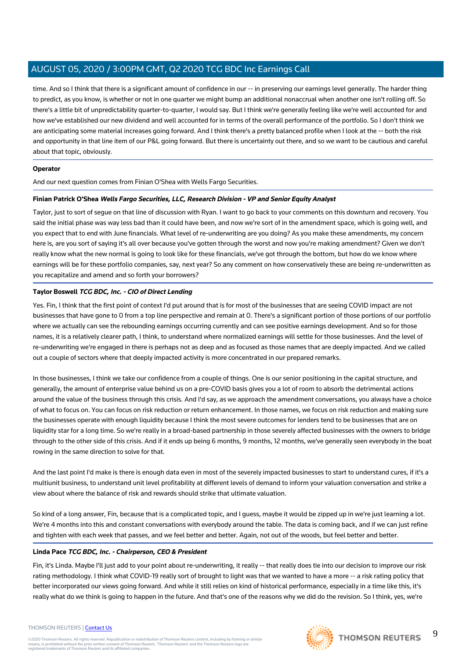time. And so I think that there is a significant amount of confidence in our -- in preserving our earnings level generally. The harder thing to predict, as you know, is whether or not in one quarter we might bump an additional nonaccrual when another one isn't rolling off. So there's a little bit of unpredictability quarter-to-quarter, I would say. But I think we're generally feeling like we're well accounted for and how we've established our new dividend and well accounted for in terms of the overall performance of the portfolio. So I don't think we are anticipating some material increases going forward. And I think there's a pretty balanced profile when I look at the -- both the risk and opportunity in that line item of our P&L going forward. But there is uncertainty out there, and so we want to be cautious and careful about that topic, obviously.

#### **Operator**

And our next question comes from Finian O'Shea with Wells Fargo Securities.

#### **Finian Patrick O'Shea Wells Fargo Securities, LLC, Research Division - VP and Senior Equity Analyst**

Taylor, just to sort of segue on that line of discussion with Ryan. I want to go back to your comments on this downturn and recovery. You said the initial phase was way less bad than it could have been, and now we're sort of in the amendment space, which is going well, and you expect that to end with June financials. What level of re-underwriting are you doing? As you make these amendments, my concern here is, are you sort of saying it's all over because you've gotten through the worst and now you're making amendment? Given we don't really know what the new normal is going to look like for these financials, we've got through the bottom, but how do we know where earnings will be for these portfolio companies, say, next year? So any comment on how conservatively these are being re-underwritten as you recapitalize and amend and so forth your borrowers?

#### **Taylor Boswell TCG BDC, Inc. - CIO of Direct Lending**

Yes. Fin, I think that the first point of context I'd put around that is for most of the businesses that are seeing COVID impact are not businesses that have gone to 0 from a top line perspective and remain at 0. There's a significant portion of those portions of our portfolio where we actually can see the rebounding earnings occurring currently and can see positive earnings development. And so for those names, it is a relatively clearer path, I think, to understand where normalized earnings will settle for those businesses. And the level of re-underwriting we're engaged in there is perhaps not as deep and as focused as those names that are deeply impacted. And we called out a couple of sectors where that deeply impacted activity is more concentrated in our prepared remarks.

In those businesses, I think we take our confidence from a couple of things. One is our senior positioning in the capital structure, and generally, the amount of enterprise value behind us on a pre-COVID basis gives you a lot of room to absorb the detrimental actions around the value of the business through this crisis. And I'd say, as we approach the amendment conversations, you always have a choice of what to focus on. You can focus on risk reduction or return enhancement. In those names, we focus on risk reduction and making sure the businesses operate with enough liquidity because I think the most severe outcomes for lenders tend to be businesses that are on liquidity star for a long time. So we're really in a broad-based partnership in those severely affected businesses with the owners to bridge through to the other side of this crisis. And if it ends up being 6 months, 9 months, 12 months, we've generally seen everybody in the boat rowing in the same direction to solve for that.

And the last point I'd make is there is enough data even in most of the severely impacted businesses to start to understand cures, if it's a multiunit business, to understand unit level profitability at different levels of demand to inform your valuation conversation and strike a view about where the balance of risk and rewards should strike that ultimate valuation.

So kind of a long answer. Fin, because that is a complicated topic, and I guess, maybe it would be zipped up in we're just learning a lot. We're 4 months into this and constant conversations with everybody around the table. The data is coming back, and if we can just refine and tighten with each week that passes, and we feel better and better. Again, not out of the woods, but feel better and better.

#### **Linda Pace TCG BDC, Inc. - Chairperson, CEO & President**

Fin, it's Linda. Maybe I'll just add to your point about re-underwriting, it really -- that really does tie into our decision to improve our risk rating methodology. I think what COVID-19 really sort of brought to light was that we wanted to have a more -- a risk rating policy that better incorporated our views going forward. And while it still relies on kind of historical performance, especially in a time like this, it's really what do we think is going to happen in the future. And that's one of the reasons why we did do the revision. So I think, yes, we're

#### THOMSON REUTERS | [Contact Us](https://my.thomsonreuters.com/ContactUsNew)

©2020 Thomson Reuters. All rights reserved. Republication or redistribution of Thomson Reuters content, including by framing or similar<br>means, is prohibited without the prior written consent of Thomson Reuters. 'Thomson Re



9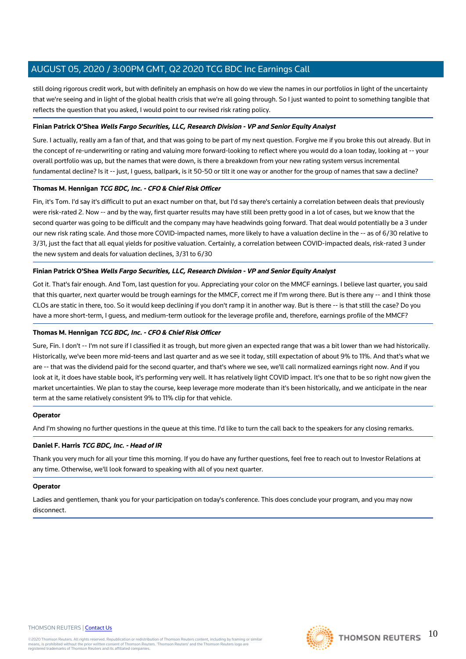still doing rigorous credit work, but with definitely an emphasis on how do we view the names in our portfolios in light of the uncertainty that we're seeing and in light of the global health crisis that we're all going through. So I just wanted to point to something tangible that reflects the question that you asked, I would point to our revised risk rating policy.

#### **Finian Patrick O'Shea Wells Fargo Securities, LLC, Research Division - VP and Senior Equity Analyst**

Sure. I actually, really am a fan of that, and that was going to be part of my next question. Forgive me if you broke this out already. But in the concept of re-underwriting or rating and valuing more forward-looking to reflect where you would do a loan today, looking at -- your overall portfolio was up, but the names that were down, is there a breakdown from your new rating system versus incremental fundamental decline? Is it -- just, I guess, ballpark, is it 50-50 or tilt it one way or another for the group of names that saw a decline?

#### **Thomas M. Hennigan TCG BDC, Inc. - CFO & Chief Risk Officer**

Fin, it's Tom. I'd say it's difficult to put an exact number on that, but I'd say there's certainly a correlation between deals that previously were risk-rated 2. Now -- and by the way, first quarter results may have still been pretty good in a lot of cases, but we know that the second quarter was going to be difficult and the company may have headwinds going forward. That deal would potentially be a 3 under our new risk rating scale. And those more COVID-impacted names, more likely to have a valuation decline in the -- as of 6/30 relative to 3/31, just the fact that all equal yields for positive valuation. Certainly, a correlation between COVID-impacted deals, risk-rated 3 under the new system and deals for valuation declines, 3/31 to 6/30

#### **Finian Patrick O'Shea Wells Fargo Securities, LLC, Research Division - VP and Senior Equity Analyst**

Got it. That's fair enough. And Tom, last question for you. Appreciating your color on the MMCF earnings. I believe last quarter, you said that this quarter, next quarter would be trough earnings for the MMCF, correct me if I'm wrong there. But is there any -- and I think those CLOs are static in there, too. So it would keep declining if you don't ramp it in another way. But is there -- is that still the case? Do you have a more short-term, I guess, and medium-term outlook for the leverage profile and, therefore, earnings profile of the MMCF?

#### **Thomas M. Hennigan TCG BDC, Inc. - CFO & Chief Risk Officer**

Sure, Fin. I don't -- I'm not sure if I classified it as trough, but more given an expected range that was a bit lower than we had historically. Historically, we've been more mid-teens and last quarter and as we see it today, still expectation of about 9% to 11%. And that's what we are -- that was the dividend paid for the second quarter, and that's where we see, we'll call normalized earnings right now. And if you look at it, it does have stable book, it's performing very well. It has relatively light COVID impact. It's one that to be so right now given the market uncertainties. We plan to stay the course, keep leverage more moderate than it's been historically, and we anticipate in the near term at the same relatively consistent 9% to 11% clip for that vehicle.

#### **Operator**

And I'm showing no further questions in the queue at this time. I'd like to turn the call back to the speakers for any closing remarks.

#### **Daniel F. Harris TCG BDC, Inc. - Head of IR**

Thank you very much for all your time this morning. If you do have any further questions, feel free to reach out to Investor Relations at any time. Otherwise, we'll look forward to speaking with all of you next quarter.

#### **Operator**

Ladies and gentlemen, thank you for your participation on today's conference. This does conclude your program, and you may now disconnect.